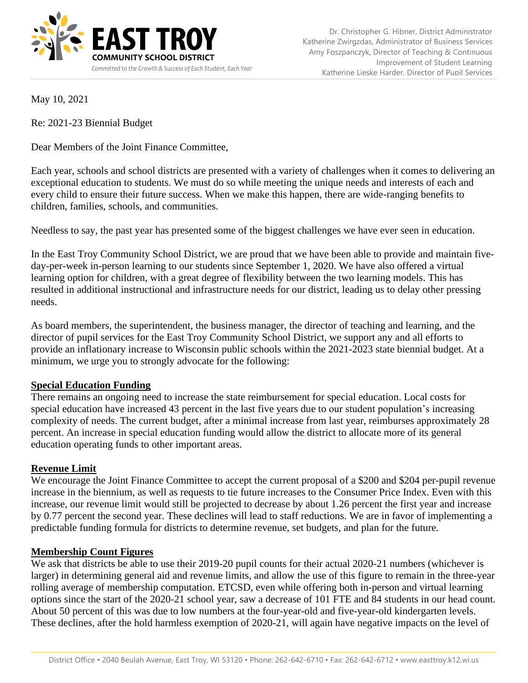

May 10, 2021

Re: 2021-23 Biennial Budget

Dear Members of the Joint Finance Committee,

Each year, schools and school districts are presented with a variety of challenges when it comes to delivering an exceptional education to students. We must do so while meeting the unique needs and interests of each and every child to ensure their future success. When we make this happen, there are wide-ranging benefits to children, families, schools, and communities.

Needless to say, the past year has presented some of the biggest challenges we have ever seen in education.

In the East Troy Community School District, we are proud that we have been able to provide and maintain fiveday-per-week in-person learning to our students since September 1, 2020. We have also offered a virtual learning option for children, with a great degree of flexibility between the two learning models. This has resulted in additional instructional and infrastructure needs for our district, leading us to delay other pressing needs.

As board members, the superintendent, the business manager, the director of teaching and learning, and the director of pupil services for the East Troy Community School District, we support any and all efforts to provide an inflationary increase to Wisconsin public schools within the 2021-2023 state biennial budget. At a minimum, we urge you to strongly advocate for the following:

## **Special Education Funding**

There remains an ongoing need to increase the state reimbursement for special education. Local costs for special education have increased 43 percent in the last five years due to our student population's increasing complexity of needs. The current budget, after a minimal increase from last year, reimburses approximately 28 percent. An increase in special education funding would allow the district to allocate more of its general education operating funds to other important areas.

## **Revenue Limit**

We encourage the Joint Finance Committee to accept the current proposal of a \$200 and \$204 per-pupil revenue increase in the biennium, as well as requests to tie future increases to the Consumer Price Index. Even with this increase, our revenue limit would still be projected to decrease by about 1.26 percent the first year and increase by 0.77 percent the second year. These declines will lead to staff reductions. We are in favor of implementing a predictable funding formula for districts to determine revenue, set budgets, and plan for the future.

## **Membership Count Figures**

We ask that districts be able to use their 2019-20 pupil counts for their actual 2020-21 numbers (whichever is larger) in determining general aid and revenue limits, and allow the use of this figure to remain in the three-year rolling average of membership computation. ETCSD, even while offering both in-person and virtual learning options since the start of the 2020-21 school year, saw a decrease of 101 FTE and 84 students in our head count. About 50 percent of this was due to low numbers at the four-year-old and five-year-old kindergarten levels. These declines, after the hold harmless exemption of 2020-21, will again have negative impacts on the level of